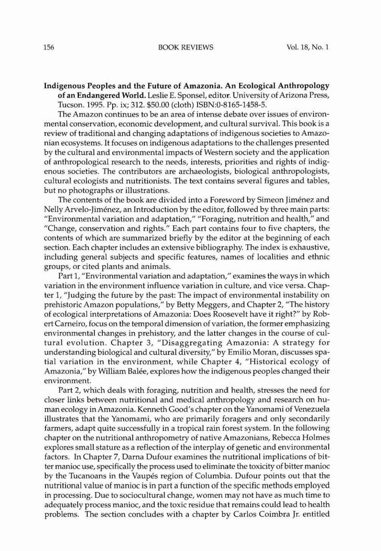## Indigenous Peoples and the Future of Amazonia. An Ecological Anthropology of an Endangered World. Leslie E. Sponsel, editor. University of Arizona Press, Tucson. 1995. Pp. ix; 312. \$50.00 (cloth) ISBN:O-8165-1458-5.

The Amazon continues to be an area of intense debate over issues of environmental conservation, economic development, and cultural survival. This book is a review of traditional and changing adaptations of indigenous societies to Amazonian ecosystems. It focuses on indigenous adaptations to the challenges presented by the cultural and environmental impacts of Western society and the application of anthropological research to the needs, interests, priorities and rights of indigenous societies. The contributors are archaeologists, biological anthropologists, cultural ecologists and nutritionists. The text contains several figures and tables, but no photographs or illustrations.

The contents of the book are divided into a Foreword by Simeon Jiménez and Nelly Arvelo-Jiménez, an Introduction by the editor, followed by three main parts: "Environmental variation and adaptation," "Foraging, nutrition and health," and "Change, conservation and rights." Each part contains four to five chapters, the contents of which are summarized briefly by the editor at the beginning of each section. Each chapter includes an extensive bibliography. The index is exhaustive, including general subjects and specific features, names of localities and ethnic groups, or cited plants and animals.

Part 1, "Environmental variation and adaptation," examines the ways in which variation in the environment influence variation in culture, and vice versa. Chapter 1, "Judging the future by the past: The impact of environmental instability on prehistoric Amazon populations," by Betty Meggers, and Chapter 2, "The history of ecological interpretations of Amazonia: Does Roosevelt have it right?" by RobertCameiro, focus on the temporal dimension of variation, the former emphasizing environmental changes in prehistory, and the latter changes in the course of cultural evolution. Chapter 3, "Disaggregating Amazonia: A strategy for understanding biological and cultural diversity," by Emilio Moran, discusses spatial variation in the environment, while Chapter 4, "Historical ecology of Amazonia," by William Balée, explores how the indigenous peoples changed their environment.

Part 2, which deals with foraging, nutrition and health, stresses the need for closer links between nutritional and medical anthropology and research on human ecology in Amazonia. Kenneth Good's chapter on the Yanomami of Venezuela illustrates that the Yanomami, who arc primarily foragers and only secondarily farmers, adapt quite successfully in a tropical rain forest system. In the following chapter on the nutritional anthropometry of native Amazonians, Rebecca Holmes explores small stature as a reflection of the interplay of genetic and environmental factors. In Chapter 7, Darna Dufour examines the nutritional implications of bitter manioc use, specifically the process used to eliminate the toxicity of bitter manioc by the Tucanoans in the Vaupes region of Columbia. Dufour points out that the nutritional value of manioc is in part a function of the specific methods employed in processing. Due to sociocultural change, women may not have as much time to adequately process manioc, and the toxic residue that remains could lead to health problems. The section concludes with a chapter by Carlos Coimbra Jr. entitled